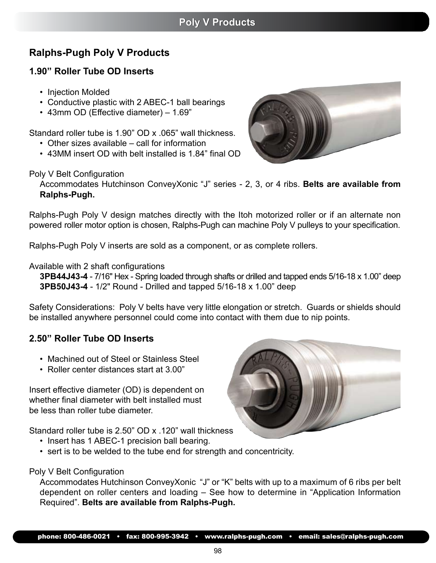# **Ralphs-Pugh Poly V Products**

## **1.90" Roller Tube OD Inserts**

- Injection Molded
- Conductive plastic with 2 ABEC-1 ball bearings
- 43mm OD (Effective diameter) 1.69"

Standard roller tube is 1.90" OD x .065" wall thickness.

- Other sizes available call for information
- 43MM insert OD with belt installed is 1.84" final OD

### Poly V Belt Configuration

Accommodates Hutchinson ConveyXonic "J" series - 2, 3, or 4 ribs. **Belts are available from Ralphs-Pugh.**

Ralphs-Pugh Poly V design matches directly with the Itoh motorized roller or if an alternate non powered roller motor option is chosen, Ralphs-Pugh can machine Poly V pulleys to your specification.

Ralphs-Pugh Poly V inserts are sold as a component, or as complete rollers.

### Available with 2 shaft configurations

**3PB44J43-4** - 7/16" Hex - Spring loaded through shafts or drilled and tapped ends 5/16-18 x 1.00" deep **3PB50J43-4** - 1/2" Round - Drilled and tapped 5/16-18 x 1.00" deep

Safety Considerations: Poly V belts have very little elongation or stretch. Guards or shields should be installed anywhere personnel could come into contact with them due to nip points.

### **2.50" Roller Tube OD Inserts**

- Machined out of Steel or Stainless Steel
- Roller center distances start at 3.00"

Insert effective diameter (OD) is dependent on whether final diameter with belt installed must be less than roller tube diameter.

Standard roller tube is 2.50" OD x .120" wall thickness

- Insert has 1 ABEC-1 precision ball bearing.
- sert is to be welded to the tube end for strength and concentricity.

### Poly V Belt Configuration

Accommodates Hutchinson ConveyXonic "J" or "K" belts with up to a maximum of 6 ribs per belt dependent on roller centers and loading – See how to determine in "Application Information Required". **Belts are available from Ralphs-Pugh.**

98





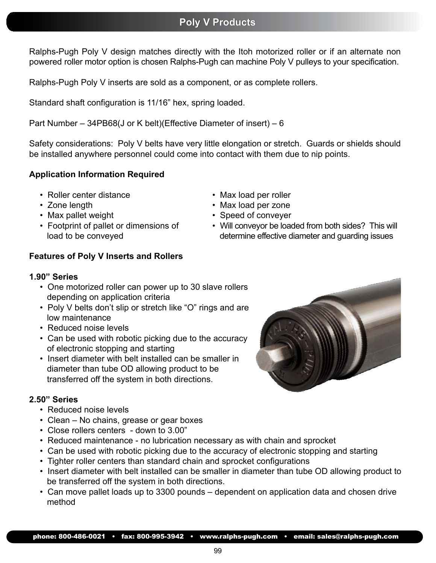# **Poly V Products Poly Products**

Ralphs-Pugh Poly V design matches directly with the Itoh motorized roller or if an alternate non powered roller motor option is chosen Ralphs-Pugh can machine Poly V pulleys to your specification.

Ralphs-Pugh Poly V inserts are sold as a component, or as complete rollers.

Standard shaft configuration is 11/16" hex, spring loaded.

Part Number – 34PB68(J or K belt)(Effective Diameter of insert) – 6

Safety considerations: Poly V belts have very little elongation or stretch. Guards or shields should be installed anywhere personnel could come into contact with them due to nip points.

### **Application Information Required**

- Roller center distance
- Zone length
- Max pallet weight
- Footprint of pallet or dimensions of load to be conveyed

## • Max load per roller

- Max load per zone
- Speed of conveyer
- Will conveyor be loaded from both sides? This will determine effective diameter and guarding issues

### **Features of Poly V Inserts and Rollers**

#### **1.90" Series**

- One motorized roller can power up to 30 slave rollers depending on application criteria
- Poly V belts don't slip or stretch like "O" rings and are low maintenance
- Reduced noise levels
- Can be used with robotic picking due to the accuracy of electronic stopping and starting
- Insert diameter with belt installed can be smaller in diameter than tube OD allowing product to be transferred off the system in both directions.

### **2.50" Series**

- Reduced noise levels
- Clean No chains, grease or gear boxes
- Close rollers centers down to 3.00"
- Reduced maintenance no lubrication necessary as with chain and sprocket
- Can be used with robotic picking due to the accuracy of electronic stopping and starting
- Tighter roller centers than standard chain and sprocket configurations
- Insert diameter with belt installed can be smaller in diameter than tube OD allowing product to be transferred off the system in both directions.
- Can move pallet loads up to 3300 pounds dependent on application data and chosen drive method

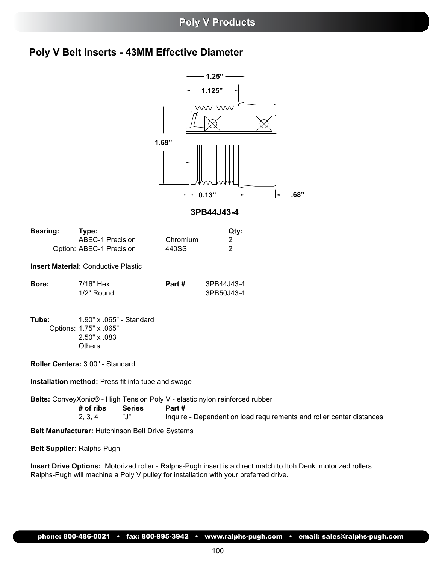## **Poly V Products Poly V Products**

# **Poly V Belt Inserts - 43MM Effective Diameter**



**3PB44J43-4**

| <b>Bearing:</b> | Type:                                                                                      |               |          | Qty:                                                                        |                                                                      |  |
|-----------------|--------------------------------------------------------------------------------------------|---------------|----------|-----------------------------------------------------------------------------|----------------------------------------------------------------------|--|
|                 | <b>ABEC-1 Precision</b>                                                                    |               | Chromium | 2                                                                           |                                                                      |  |
|                 | Option: ABEC-1 Precision                                                                   |               | 440SS    | 2                                                                           |                                                                      |  |
|                 | <b>Insert Material: Conductive Plastic</b>                                                 |               |          |                                                                             |                                                                      |  |
| Bore:           | 7/16" Hex<br>1/2" Round                                                                    |               | Part #   | 3PB44J43-4<br>3PB50J43-4                                                    |                                                                      |  |
| Tube:           | 1.90" x .065" - Standard<br>Options: 1.75" x .065"<br>$2.50" \times .083$<br><b>Others</b> |               |          |                                                                             |                                                                      |  |
|                 | Roller Centers: 3.00" - Standard                                                           |               |          |                                                                             |                                                                      |  |
|                 | <b>Installation method:</b> Press fit into tube and swage                                  |               |          |                                                                             |                                                                      |  |
|                 | # of ribs                                                                                  | <b>Series</b> | Part #   | Belts: ConveyXonic® - High Tension Poly V - elastic nylon reinforced rubber |                                                                      |  |
|                 | 2, 3, 4                                                                                    | "J"           |          |                                                                             | Inquire - Dependent on load requirements and roller center distances |  |

**Belt Manufacturer:** Hutchinson Belt Drive Systems

**Belt Supplier:** Ralphs-Pugh

**Insert Drive Options:** Motorized roller - Ralphs-Pugh insert is a direct match to Itoh Denki motorized rollers. Ralphs-Pugh will machine a Poly V pulley for installation with your preferred drive.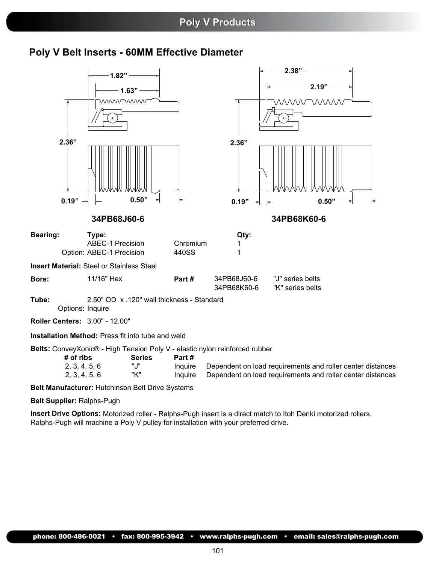## **Poly V Products Poly Products**

## **Poly V Belt Inserts - 60MM Effective Diameter**

|                                                           | $1.82"$ -<br>wwwwww                                          | 1.63"                  |                   |                                                                             | 2.38"<br>2.19"<br><i>WWW</i> WWW                           |
|-----------------------------------------------------------|--------------------------------------------------------------|------------------------|-------------------|-----------------------------------------------------------------------------|------------------------------------------------------------|
| 2.36"<br>$0.19"$ -                                        |                                                              | 0.50"<br>$\rightarrow$ |                   | 2.36"<br>$0.19"$ ~                                                          | 0.50"                                                      |
|                                                           | 34PB68J60-6                                                  |                        |                   |                                                                             | 34PB68K60-6                                                |
| <b>Bearing:</b>                                           | Type:<br><b>ABEC-1 Precision</b><br>Option: ABEC-1 Precision |                        | Chromium<br>440SS | Qty:<br>1.<br>1                                                             |                                                            |
| <b>Insert Material: Steel or Stainless Steel</b><br>Bore: | 11/16" Hex                                                   |                        | Part#             | 34PB68J60-6<br>34PB68K60-6                                                  | "J" series belts<br>"K" series belts                       |
| Tube:<br>Options: Inquire                                 | 2.50" OD x .120" wall thickness - Standard                   |                        |                   |                                                                             |                                                            |
| Roller Centers: 3.00" - 12.00"                            |                                                              |                        |                   |                                                                             |                                                            |
| Installation Method: Press fit into tube and weld         |                                                              |                        |                   |                                                                             |                                                            |
| # of ribs<br>2, 3, 4, 5, 6                                |                                                              | <b>Series</b><br>"J"   | Part#<br>Inquire  | Belts: ConveyXonic® - High Tension Poly V - elastic nylon reinforced rubber | Dependent on load requirements and roller center distances |

2, 3, 4, 5, 6 "K" Inquire Dependent on load requirements and roller center distances

**Belt Manufacturer:** Hutchinson Belt Drive Systems

**Belt Supplier:** Ralphs-Pugh

**Insert Drive Options:** Motorized roller - Ralphs-Pugh insert is a direct match to Itoh Denki motorized rollers. Ralphs-Pugh will machine a Poly V pulley for installation with your preferred drive.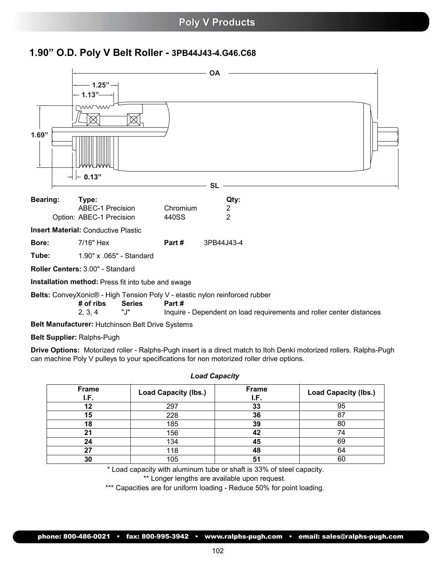## **1.90" O.D. Poly V Belt Roller - 3PB44J43-4.G46.C68**



**Belt Manufacturer:** Hutchinson Belt Drive Systems

**Belt Supplier:** Ralphs-Pugh

**Drive Options:** Motorized roller - Ralphs-Pugh insert is a direct match to Itoh Denki motorized rollers. Ralphs-Pugh can machine Poly V pulleys to your specifications for non motorized roller drive options.

| <b>Frame</b><br>I.F. | <b>Load Capacity (lbs.)</b> | Frame<br>I.F. | <b>Load Capacity (lbs.)</b> |  |  |  |
|----------------------|-----------------------------|---------------|-----------------------------|--|--|--|
| 12                   | 297                         | 33            | 95                          |  |  |  |
| 15                   | 228                         | 36            | 87                          |  |  |  |
| 18                   | 185                         | 39            | 80                          |  |  |  |
| 21                   | 156                         | 42            | 74                          |  |  |  |
| 24                   | 134                         | 45            | 69                          |  |  |  |
| 27                   | 118                         | 48            | 64                          |  |  |  |
| 30                   | 105                         | 51            | 60                          |  |  |  |

#### *Load Capacity*

\* Load capacity with aluminum tube or shaft is 33% of steel capacity.

\*\* Longer lengths are available upon request.

\*\*\* Capacities are for uniform loading - Reduce 50% for point loading.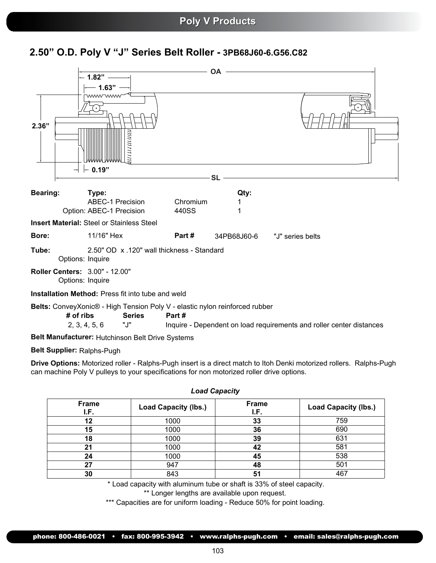## **2.50" O.D. Poly V "J" Series Belt Roller - 3PB68J60-6.G56.C82**



**Belt Manufacturer:** Hutchinson Belt Drive Systems

#### **Belt Supplier:** Ralphs-Pugh

**Drive Options:** Motorized roller - Ralphs-Pugh insert is a direct match to Itoh Denki motorized rollers. Ralphs-Pugh can machine Poly V pulleys to your specifications for non motorized roller drive options.

| <b>Frame</b><br>I.F. | <b>Load Capacity (lbs.)</b> | <b>Frame</b><br>I.F. | <b>Load Capacity (lbs.)</b> |  |  |  |
|----------------------|-----------------------------|----------------------|-----------------------------|--|--|--|
| 12                   | 1000                        | 33                   | 759                         |  |  |  |
| 15                   | 1000                        | 36                   | 690                         |  |  |  |
| 18                   | 1000                        | 39                   | 631                         |  |  |  |
| 21                   | 1000                        | 42                   | 581                         |  |  |  |
| 24                   | 1000                        | 45                   | 538                         |  |  |  |
| 27                   | 947                         | 48                   | 501                         |  |  |  |
| 30                   | 843                         | 51                   | 467                         |  |  |  |
|                      |                             |                      |                             |  |  |  |

*Load Capacity*

\* Load capacity with aluminum tube or shaft is 33% of steel capacity.

\*\* Longer lengths are available upon request.

\*\*\* Capacities are for uniform loading - Reduce 50% for point loading.